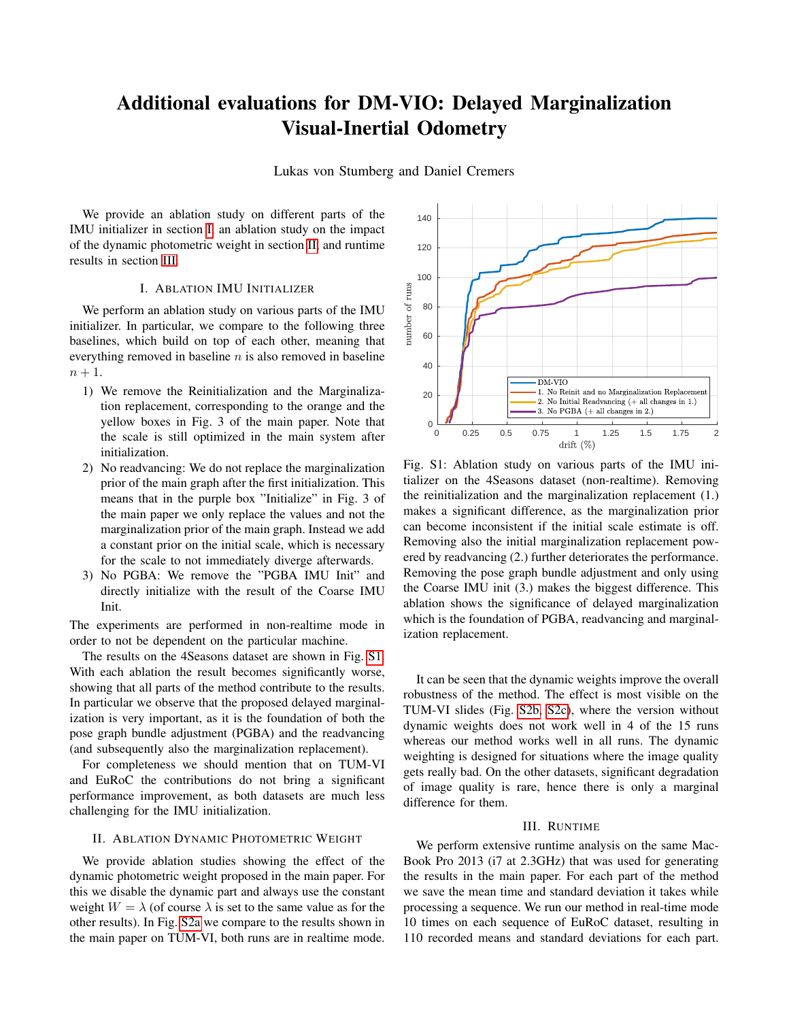## Additional evaluations for DM-VIO: Delayed Marginalization Visual-Inertial Odometry

Lukas von Stumberg and Daniel Cremers

We provide an ablation study on different parts of the IMU initializer in section [I,](#page-0-0) an ablation study on the impact of the dynamic photometric weight in section [II,](#page-0-1) and runtime results in section [III.](#page-0-2)

## I. ABLATION IMU INITIALIZER

<span id="page-0-0"></span>We perform an ablation study on various parts of the IMU initializer. In particular, we compare to the following three baselines, which build on top of each other, meaning that everything removed in baseline  $n$  is also removed in baseline  $n+1$ .

- 1) We remove the Reinitialization and the Marginalization replacement, corresponding to the orange and the yellow boxes in Fig. 3 of the main paper. Note that the scale is still optimized in the main system after initialization.
- 2) No readvancing: We do not replace the marginalization prior of the main graph after the first initialization. This means that in the purple box "Initialize" in Fig. 3 of the main paper we only replace the values and not the marginalization prior of the main graph. Instead we add a constant prior on the initial scale, which is necessary for the scale to not immediately diverge afterwards.
- 3) No PGBA: We remove the "PGBA IMU Init" and directly initialize with the result of the Coarse IMU Init.

The experiments are performed in non-realtime mode in order to not be dependent on the particular machine.

The results on the 4Seasons dataset are shown in Fig. [S1.](#page-0-3) With each ablation the result becomes significantly worse, showing that all parts of the method contribute to the results. In particular we observe that the proposed delayed marginalization is very important, as it is the foundation of both the pose graph bundle adjustment (PGBA) and the readvancing (and subsequently also the marginalization replacement).

For completeness we should mention that on TUM-VI and EuRoC the contributions do not bring a significant performance improvement, as both datasets are much less challenging for the IMU initialization.

## <span id="page-0-1"></span>II. ABLATION DYNAMIC PHOTOMETRIC WEIGHT

We provide ablation studies showing the effect of the dynamic photometric weight proposed in the main paper. For this we disable the dynamic part and always use the constant weight  $W = \lambda$  (of course  $\lambda$  is set to the same value as for the other results). In Fig. [S2a](#page-1-0) we compare to the results shown in the main paper on TUM-VI, both runs are in realtime mode.

<span id="page-0-3"></span>

Fig. S1: Ablation study on various parts of the IMU initializer on the 4Seasons dataset (non-realtime). Removing the reinitialization and the marginalization replacement (1.) makes a significant difference, as the marginalization prior can become inconsistent if the initial scale estimate is off. Removing also the initial marginalization replacement powered by readvancing (2.) further deteriorates the performance. Removing the pose graph bundle adjustment and only using the Coarse IMU init (3.) makes the biggest difference. This ablation shows the significance of delayed marginalization which is the foundation of PGBA, readvancing and marginalization replacement.

It can be seen that the dynamic weights improve the overall robustness of the method. The effect is most visible on the TUM-VI slides (Fig. [S2b, S2c\)](#page-1-0), where the version without dynamic weights does not work well in 4 of the 15 runs whereas our method works well in all runs. The dynamic weighting is designed for situations where the image quality gets really bad. On the other datasets, significant degradation of image quality is rare, hence there is only a marginal difference for them.

## III. RUNTIME

<span id="page-0-2"></span>We perform extensive runtime analysis on the same Mac-Book Pro 2013 (i7 at 2.3GHz) that was used for generating the results in the main paper. For each part of the method we save the mean time and standard deviation it takes while processing a sequence. We run our method in real-time mode 10 times on each sequence of EuRoC dataset, resulting in 110 recorded means and standard deviations for each part.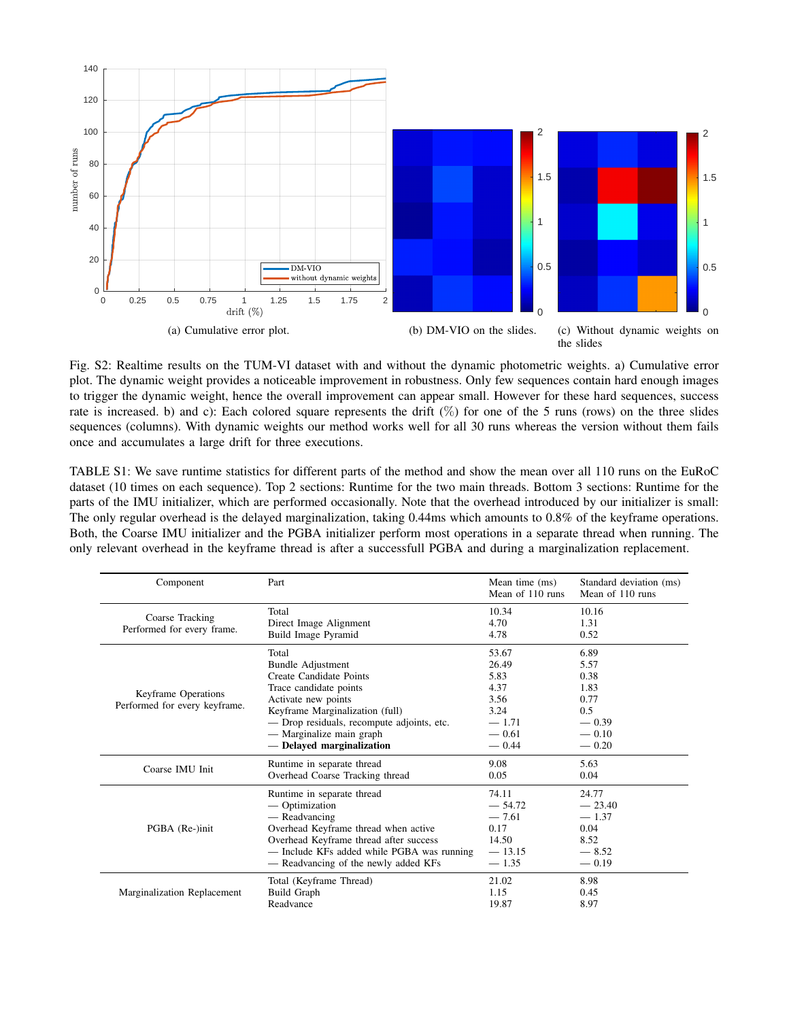<span id="page-1-0"></span>

Fig. S2: Realtime results on the TUM-VI dataset with and without the dynamic photometric weights. a) Cumulative error plot. The dynamic weight provides a noticeable improvement in robustness. Only few sequences contain hard enough images to trigger the dynamic weight, hence the overall improvement can appear small. However for these hard sequences, success rate is increased. b) and c): Each colored square represents the drift  $(\%)$  for one of the 5 runs (rows) on the three slides sequences (columns). With dynamic weights our method works well for all 30 runs whereas the version without them fails once and accumulates a large drift for three executions.

<span id="page-1-1"></span>TABLE S1: We save runtime statistics for different parts of the method and show the mean over all 110 runs on the EuRoC dataset (10 times on each sequence). Top 2 sections: Runtime for the two main threads. Bottom 3 sections: Runtime for the parts of the IMU initializer, which are performed occasionally. Note that the overhead introduced by our initializer is small: The only regular overhead is the delayed marginalization, taking 0.44ms which amounts to 0.8% of the keyframe operations. Both, the Coarse IMU initializer and the PGBA initializer perform most operations in a separate thread when running. The only relevant overhead in the keyframe thread is after a successfull PGBA and during a marginalization replacement.

| Component                                            | Part                                                                                                                                                                                                                                                    | Mean time (ms)<br>Mean of 110 runs                                              | Standard deviation (ms)<br>Mean of 110 runs                                  |
|------------------------------------------------------|---------------------------------------------------------------------------------------------------------------------------------------------------------------------------------------------------------------------------------------------------------|---------------------------------------------------------------------------------|------------------------------------------------------------------------------|
| Coarse Tracking<br>Performed for every frame.        | Total<br>Direct Image Alignment<br>Build Image Pyramid                                                                                                                                                                                                  | 10.34<br>4.70<br>4.78                                                           | 10.16<br>1.31<br>0.52                                                        |
| Keyframe Operations<br>Performed for every keyframe. | Total<br><b>Bundle Adjustment</b><br>Create Candidate Points<br>Trace candidate points<br>Activate new points<br>Keyframe Marginalization (full)<br>- Drop residuals, recompute adjoints, etc.<br>— Marginalize main graph<br>- Delayed marginalization | 53.67<br>26.49<br>5.83<br>4.37<br>3.56<br>3.24<br>$-1.71$<br>$-0.61$<br>$-0.44$ | 6.89<br>5.57<br>0.38<br>1.83<br>0.77<br>0.5<br>$-0.39$<br>$-0.10$<br>$-0.20$ |
| Coarse IMU Init                                      | Runtime in separate thread                                                                                                                                                                                                                              | 9.08                                                                            | 5.63                                                                         |
|                                                      | Overhead Coarse Tracking thread                                                                                                                                                                                                                         | 0.05                                                                            | 0.04                                                                         |
| PGBA (Re-)init                                       | Runtime in separate thread                                                                                                                                                                                                                              | 74.11                                                                           | 24.77                                                                        |
|                                                      | — Optimization                                                                                                                                                                                                                                          | $-54.72$                                                                        | $-23.40$                                                                     |
|                                                      | — Readvancing                                                                                                                                                                                                                                           | $-7.61$                                                                         | $-1.37$                                                                      |
|                                                      | Overhead Keyframe thread when active                                                                                                                                                                                                                    | 0.17                                                                            | 0.04                                                                         |
|                                                      | Overhead Keyframe thread after success                                                                                                                                                                                                                  | 14.50                                                                           | 8.52                                                                         |
|                                                      | - Include KFs added while PGBA was running                                                                                                                                                                                                              | $-13.15$                                                                        | $-8.52$                                                                      |
|                                                      | - Readvancing of the newly added KFs                                                                                                                                                                                                                    | $-1.35$                                                                         | $-0.19$                                                                      |
| Marginalization Replacement                          | Total (Keyframe Thread)                                                                                                                                                                                                                                 | 21.02                                                                           | 8.98                                                                         |
|                                                      | <b>Build Graph</b>                                                                                                                                                                                                                                      | 1.15                                                                            | 0.45                                                                         |
|                                                      | Readvance                                                                                                                                                                                                                                               | 19.87                                                                           | 8.97                                                                         |